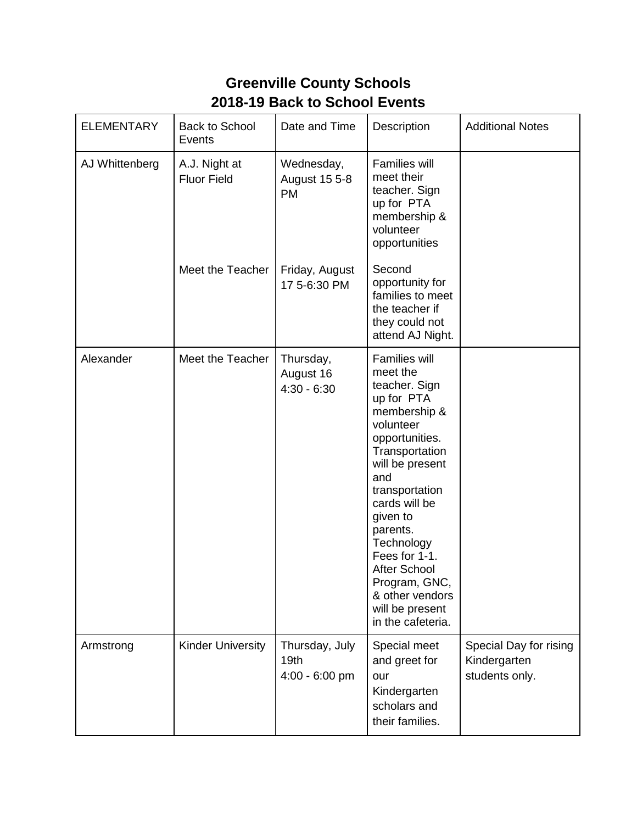## **Greenville County Schools 2018-19 Back to School Events**

| <b>ELEMENTARY</b> | <b>Back to School</b><br>Events     | Date and Time                                        | Description                                                                                                                                                                                                                                                                                                                                             | <b>Additional Notes</b>                                  |
|-------------------|-------------------------------------|------------------------------------------------------|---------------------------------------------------------------------------------------------------------------------------------------------------------------------------------------------------------------------------------------------------------------------------------------------------------------------------------------------------------|----------------------------------------------------------|
| AJ Whittenberg    | A.J. Night at<br><b>Fluor Field</b> | Wednesday,<br><b>August 15 5-8</b><br><b>PM</b>      | <b>Families will</b><br>meet their<br>teacher. Sign<br>up for PTA<br>membership &<br>volunteer<br>opportunities                                                                                                                                                                                                                                         |                                                          |
|                   | Meet the Teacher                    | Friday, August<br>17 5-6:30 PM                       | Second<br>opportunity for<br>families to meet<br>the teacher if<br>they could not<br>attend AJ Night.                                                                                                                                                                                                                                                   |                                                          |
| Alexander         | Meet the Teacher                    | Thursday,<br>August 16<br>$4:30 - 6:30$              | <b>Families will</b><br>meet the<br>teacher. Sign<br>up for PTA<br>membership &<br>volunteer<br>opportunities.<br>Transportation<br>will be present<br>and<br>transportation<br>cards will be<br>given to<br>parents.<br>Technology<br>Fees for 1-1.<br><b>After School</b><br>Program, GNC,<br>& other vendors<br>will be present<br>in the cafeteria. |                                                          |
| Armstrong         | <b>Kinder University</b>            | Thursday, July<br>19 <sub>th</sub><br>4:00 - 6:00 pm | Special meet<br>and greet for<br>our<br>Kindergarten<br>scholars and<br>their families.                                                                                                                                                                                                                                                                 | Special Day for rising<br>Kindergarten<br>students only. |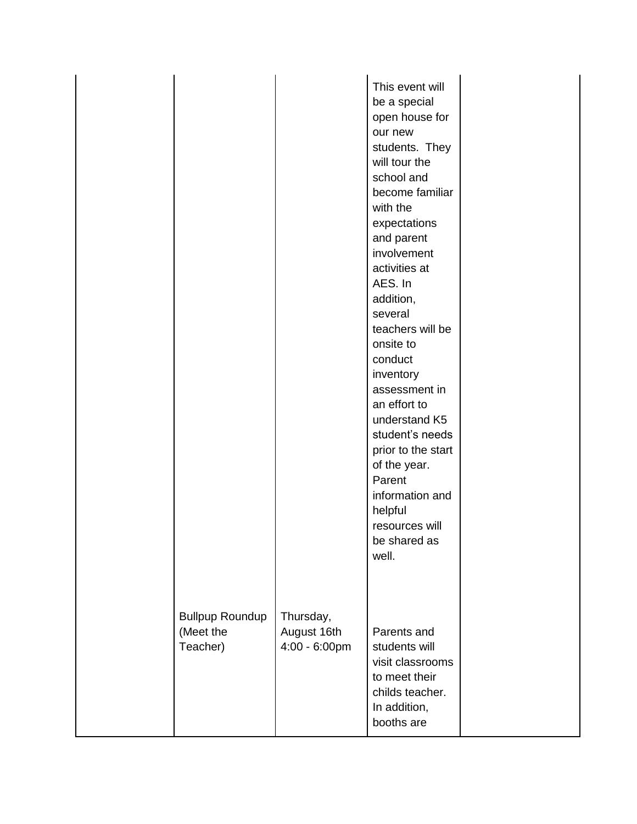|                                                 |                                           | This event will<br>be a special<br>open house for<br>our new<br>students. They<br>will tour the<br>school and<br>become familiar<br>with the<br>expectations<br>and parent<br>involvement<br>activities at<br>AES. In<br>addition,<br>several<br>teachers will be<br>onsite to<br>conduct<br>inventory<br>assessment in<br>an effort to<br>understand K5<br>student's needs<br>prior to the start<br>of the year.<br>Parent<br>information and<br>helpful<br>resources will<br>be shared as<br>well. |  |
|-------------------------------------------------|-------------------------------------------|------------------------------------------------------------------------------------------------------------------------------------------------------------------------------------------------------------------------------------------------------------------------------------------------------------------------------------------------------------------------------------------------------------------------------------------------------------------------------------------------------|--|
| <b>Bullpup Roundup</b><br>(Meet the<br>Teacher) | Thursday,<br>August 16th<br>4:00 - 6:00pm | Parents and<br>students will<br>visit classrooms<br>to meet their<br>childs teacher.<br>In addition,<br>booths are                                                                                                                                                                                                                                                                                                                                                                                   |  |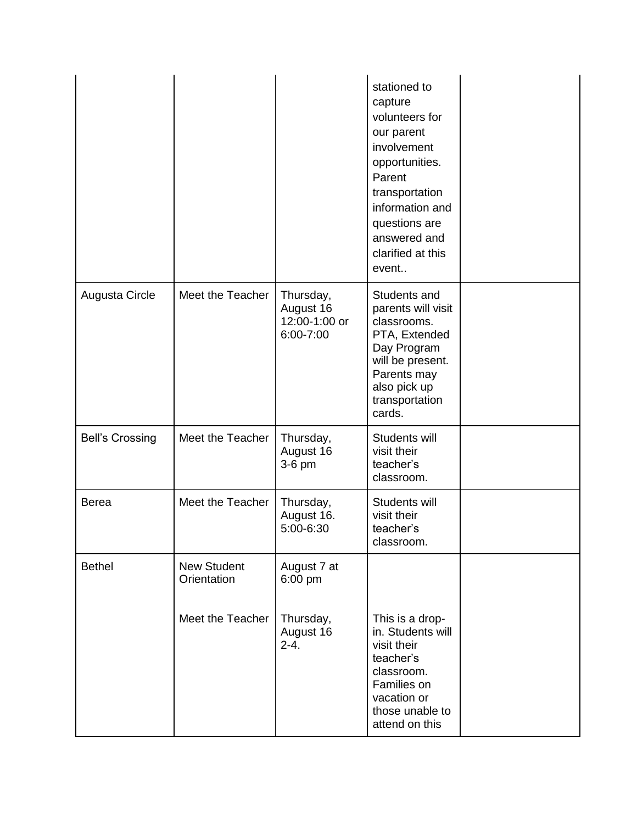|                        |                                   |                                                      | stationed to<br>capture<br>volunteers for<br>our parent<br>involvement<br>opportunities.<br>Parent<br>transportation<br>information and<br>questions are<br>answered and<br>clarified at this<br>event |  |
|------------------------|-----------------------------------|------------------------------------------------------|--------------------------------------------------------------------------------------------------------------------------------------------------------------------------------------------------------|--|
| Augusta Circle         | Meet the Teacher                  | Thursday,<br>August 16<br>12:00-1:00 or<br>6:00-7:00 | Students and<br>parents will visit<br>classrooms.<br>PTA, Extended<br>Day Program<br>will be present.<br>Parents may<br>also pick up<br>transportation<br>cards.                                       |  |
| <b>Bell's Crossing</b> | Meet the Teacher                  | Thursday,<br>August 16<br>3-6 pm                     | Students will<br>visit their<br>teacher's<br>classroom.                                                                                                                                                |  |
| <b>Berea</b>           | Meet the Teacher                  | Thursday,<br>August 16.<br>5:00-6:30                 | Students will<br>visit their<br>teacher's<br>classroom.                                                                                                                                                |  |
| <b>Bethel</b>          | <b>New Student</b><br>Orientation | August 7 at<br>6:00 pm                               |                                                                                                                                                                                                        |  |
|                        | Meet the Teacher                  | Thursday,<br>August 16<br>$2 - 4.$                   | This is a drop-<br>in. Students will<br>visit their<br>teacher's<br>classroom.<br>Families on<br>vacation or<br>those unable to<br>attend on this                                                      |  |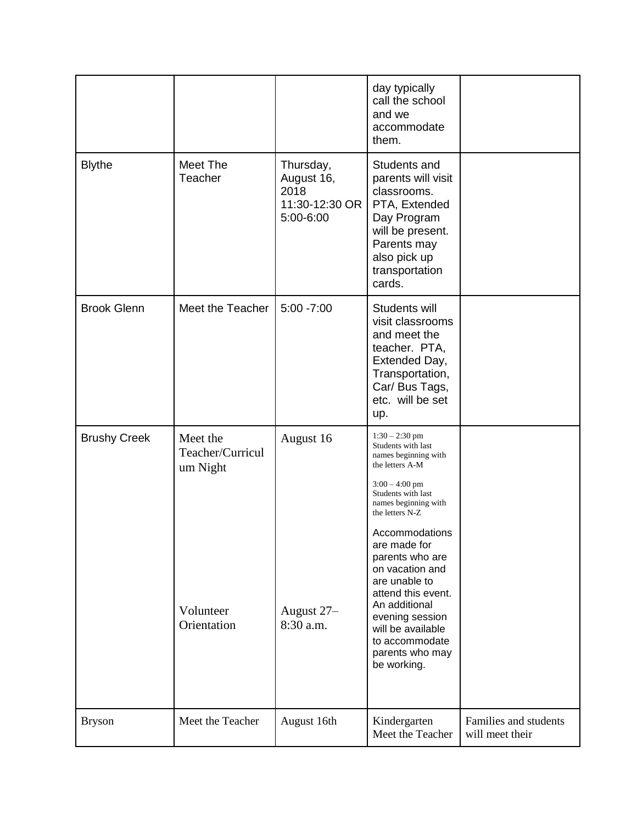|                     |                                                                      |                                                                | day typically<br>call the school<br>and we<br>accommodate<br>them.                                                                                                                                                                                                                                                                                                                                 |                                          |
|---------------------|----------------------------------------------------------------------|----------------------------------------------------------------|----------------------------------------------------------------------------------------------------------------------------------------------------------------------------------------------------------------------------------------------------------------------------------------------------------------------------------------------------------------------------------------------------|------------------------------------------|
| <b>Blythe</b>       | Meet The<br>Teacher                                                  | Thursday,<br>August 16,<br>2018<br>11:30-12:30 OR<br>5:00-6:00 | Students and<br>parents will visit<br>classrooms.<br>PTA, Extended<br>Day Program<br>will be present.<br>Parents may<br>also pick up<br>transportation<br>cards.                                                                                                                                                                                                                                   |                                          |
| <b>Brook Glenn</b>  | Meet the Teacher                                                     | $5:00 - 7:00$                                                  | Students will<br>visit classrooms<br>and meet the<br>teacher. PTA,<br>Extended Day,<br>Transportation,<br>Car/ Bus Tags,<br>etc. will be set<br>up.                                                                                                                                                                                                                                                |                                          |
| <b>Brushy Creek</b> | Meet the<br>Teacher/Curricul<br>um Night<br>Volunteer<br>Orientation | August 16<br>August 27-<br>8:30 a.m.                           | $1:30 - 2:30$ pm<br>Students with last<br>names beginning with<br>the letters A-M<br>$3:00 - 4:00$ pm<br>Students with last<br>names beginning with<br>the letters N-Z<br>Accommodations<br>are made for<br>parents who are<br>on vacation and<br>are unable to<br>attend this event.<br>An additional<br>evening session<br>will be available<br>to accommodate<br>parents who may<br>be working. |                                          |
| <b>Bryson</b>       | Meet the Teacher                                                     | August 16th                                                    | Kindergarten<br>Meet the Teacher                                                                                                                                                                                                                                                                                                                                                                   | Families and students<br>will meet their |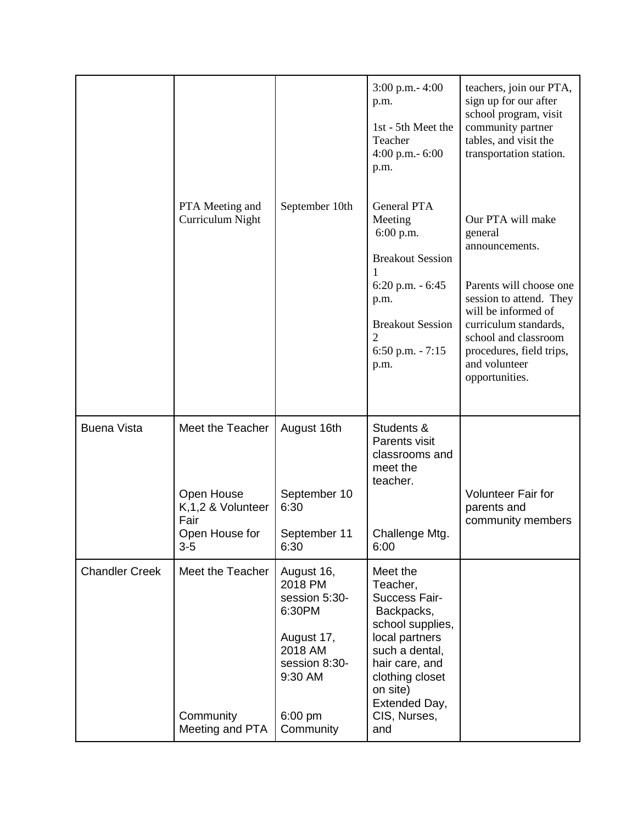|                       |                                                                                          |                                                                                                                                 | $3:00$ p.m. $-4:00$<br>p.m.<br>1st - 5th Meet the<br>Teacher<br>4:00 p.m. $-6:00$<br>p.m.                                                                                                            | teachers, join our PTA,<br>sign up for our after<br>school program, visit<br>community partner<br>tables, and visit the<br>transportation station.                                                                                          |
|-----------------------|------------------------------------------------------------------------------------------|---------------------------------------------------------------------------------------------------------------------------------|------------------------------------------------------------------------------------------------------------------------------------------------------------------------------------------------------|---------------------------------------------------------------------------------------------------------------------------------------------------------------------------------------------------------------------------------------------|
|                       | PTA Meeting and<br>Curriculum Night                                                      | September 10th                                                                                                                  | <b>General PTA</b><br>Meeting<br>6:00 p.m.<br><b>Breakout Session</b><br>$6:20$ p.m. $-6:45$<br>p.m.<br><b>Breakout Session</b><br>2<br>6:50 p.m. $-7:15$<br>p.m.                                    | Our PTA will make<br>general<br>announcements.<br>Parents will choose one<br>session to attend. They<br>will be informed of<br>curriculum standards,<br>school and classroom<br>procedures, field trips,<br>and volunteer<br>opportunities. |
| <b>Buena Vista</b>    | Meet the Teacher<br>Open House<br>K, 1, 2 & Volunteer<br>Fair<br>Open House for<br>$3-5$ | August 16th<br>September 10<br>6:30<br>September 11<br>6:30                                                                     | Students &<br>Parents visit<br>classrooms and<br>meet the<br>teacher.<br>Challenge Mtg.<br>6:00                                                                                                      | <b>Volunteer Fair for</b><br>parents and<br>community members                                                                                                                                                                               |
| <b>Chandler Creek</b> | Meet the Teacher<br>Community<br>Meeting and PTA                                         | August 16,<br>2018 PM<br>session 5:30-<br>6:30PM<br>August 17,<br>2018 AM<br>session 8:30-<br>9:30 AM<br>$6:00$ pm<br>Community | Meet the<br>Teacher,<br>Success Fair-<br>Backpacks,<br>school supplies,<br>local partners<br>such a dental,<br>hair care, and<br>clothing closet<br>on site)<br>Extended Day,<br>CIS, Nurses,<br>and |                                                                                                                                                                                                                                             |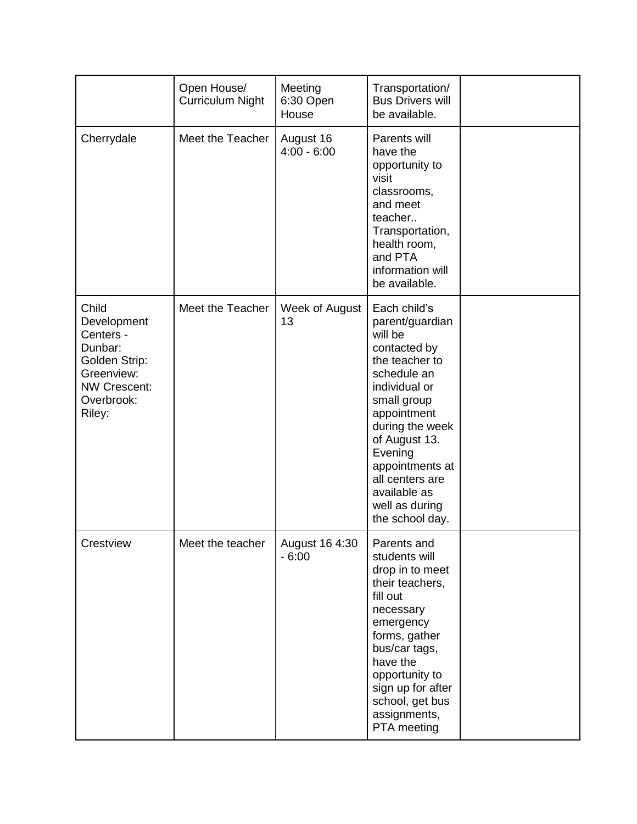|                                                                                                                            | Open House/<br><b>Curriculum Night</b> | Meeting<br>6:30 Open<br>House | Transportation/<br><b>Bus Drivers will</b><br>be available.                                                                                                                                                                                                                          |  |
|----------------------------------------------------------------------------------------------------------------------------|----------------------------------------|-------------------------------|--------------------------------------------------------------------------------------------------------------------------------------------------------------------------------------------------------------------------------------------------------------------------------------|--|
| Cherrydale                                                                                                                 | Meet the Teacher                       | August 16<br>$4:00 - 6:00$    | Parents will<br>have the<br>opportunity to<br>visit<br>classrooms,<br>and meet<br>teacher<br>Transportation,<br>health room,<br>and PTA<br>information will<br>be available.                                                                                                         |  |
| Child<br>Development<br>Centers -<br>Dunbar:<br>Golden Strip:<br>Greenview:<br><b>NW Crescent:</b><br>Overbrook:<br>Riley: | Meet the Teacher                       | Week of August<br>13          | Each child's<br>parent/guardian<br>will be<br>contacted by<br>the teacher to<br>schedule an<br>individual or<br>small group<br>appointment<br>during the week<br>of August 13.<br>Evening<br>appointments at<br>all centers are<br>available as<br>well as during<br>the school day. |  |
| Crestview                                                                                                                  | Meet the teacher                       | August 16 4:30<br>$-6:00$     | Parents and<br>students will<br>drop in to meet<br>their teachers,<br>fill out<br>necessary<br>emergency<br>forms, gather<br>bus/car tags,<br>have the<br>opportunity to<br>sign up for after<br>school, get bus<br>assignments,<br>PTA meeting                                      |  |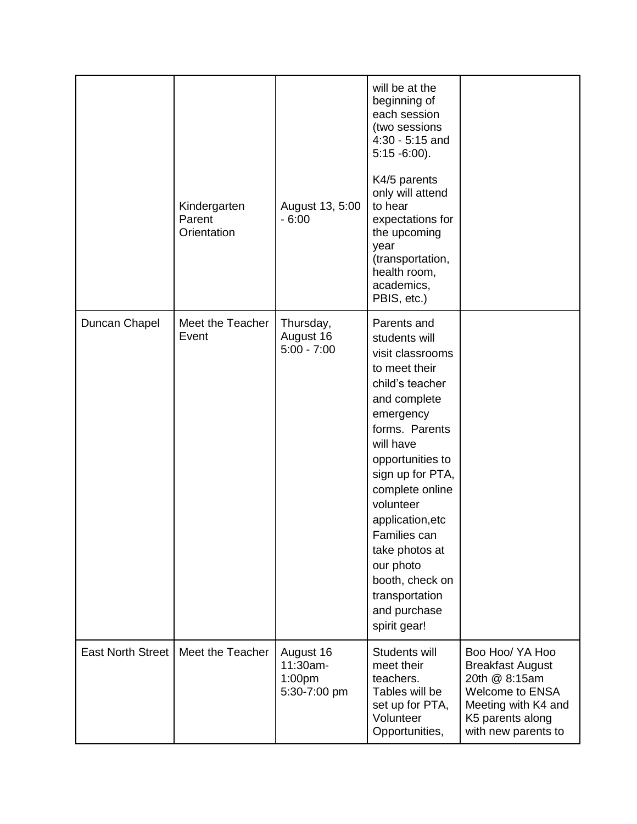|                          | Kindergarten<br>Parent<br>Orientation | August 13, 5:00<br>$-6:00$                                  | will be at the<br>beginning of<br>each session<br>(two sessions<br>4:30 - 5:15 and<br>$5:15 - 6:00$ ).<br>K4/5 parents<br>only will attend<br>to hear<br>expectations for<br>the upcoming<br>year<br>(transportation,<br>health room,<br>academics,<br>PBIS, etc.)                                                                                               |                                                                                                                                                  |
|--------------------------|---------------------------------------|-------------------------------------------------------------|------------------------------------------------------------------------------------------------------------------------------------------------------------------------------------------------------------------------------------------------------------------------------------------------------------------------------------------------------------------|--------------------------------------------------------------------------------------------------------------------------------------------------|
| Duncan Chapel            | Meet the Teacher<br>Event             | Thursday,<br>August 16<br>$5:00 - 7:00$                     | Parents and<br>students will<br>visit classrooms<br>to meet their<br>child's teacher<br>and complete<br>emergency<br>forms. Parents<br>will have<br>opportunities to<br>sign up for PTA,<br>complete online<br>volunteer<br>application, etc<br>Families can<br>take photos at<br>our photo<br>booth, check on<br>transportation<br>and purchase<br>spirit gear! |                                                                                                                                                  |
| <b>East North Street</b> | Meet the Teacher                      | August 16<br>11:30am-<br>1:00 <sub>pm</sub><br>5:30-7:00 pm | Students will<br>meet their<br>teachers.<br>Tables will be<br>set up for PTA,<br>Volunteer<br>Opportunities,                                                                                                                                                                                                                                                     | Boo Hoo/ YA Hoo<br><b>Breakfast August</b><br>20th @ 8:15am<br>Welcome to ENSA<br>Meeting with K4 and<br>K5 parents along<br>with new parents to |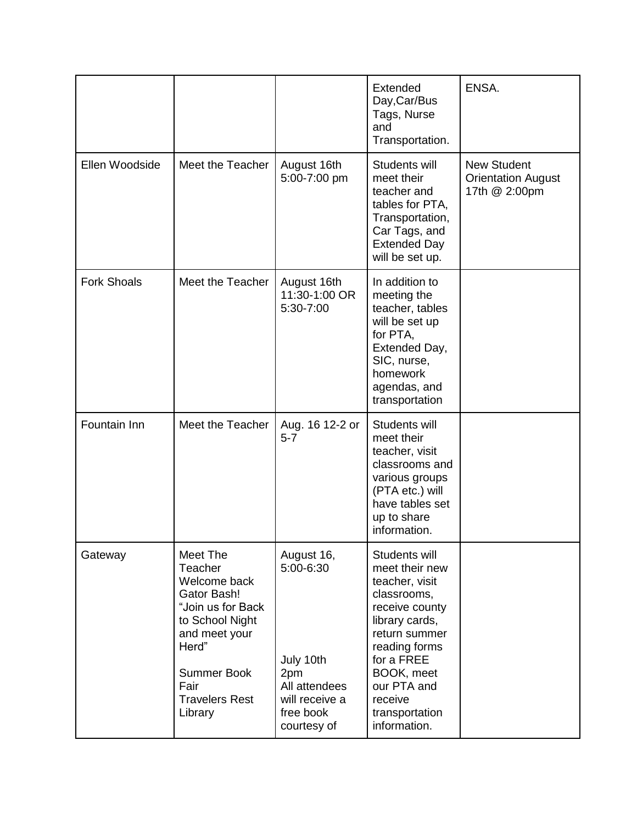|                    |                                                                                                                                                                                               |                                                                                                            | Extended<br>Day, Car/Bus<br>Tags, Nurse<br>and<br>Transportation.                                                                                                                                                              | ENSA.                                                            |
|--------------------|-----------------------------------------------------------------------------------------------------------------------------------------------------------------------------------------------|------------------------------------------------------------------------------------------------------------|--------------------------------------------------------------------------------------------------------------------------------------------------------------------------------------------------------------------------------|------------------------------------------------------------------|
| Ellen Woodside     | Meet the Teacher                                                                                                                                                                              | August 16th<br>5:00-7:00 pm                                                                                | Students will<br>meet their<br>teacher and<br>tables for PTA,<br>Transportation,<br>Car Tags, and<br><b>Extended Day</b><br>will be set up.                                                                                    | <b>New Student</b><br><b>Orientation August</b><br>17th @ 2:00pm |
| <b>Fork Shoals</b> | Meet the Teacher                                                                                                                                                                              | August 16th<br>11:30-1:00 OR<br>5:30-7:00                                                                  | In addition to<br>meeting the<br>teacher, tables<br>will be set up<br>for PTA,<br>Extended Day,<br>SIC, nurse,<br>homework<br>agendas, and<br>transportation                                                                   |                                                                  |
| Fountain Inn       | Meet the Teacher                                                                                                                                                                              | Aug. 16 12-2 or<br>$5 - 7$                                                                                 | Students will<br>meet their<br>teacher, visit<br>classrooms and<br>various groups<br>(PTA etc.) will<br>have tables set<br>up to share<br>information.                                                                         |                                                                  |
| Gateway            | Meet The<br>Teacher<br>Welcome back<br><b>Gator Bash!</b><br>"Join us for Back<br>to School Night<br>and meet your<br>Herd"<br><b>Summer Book</b><br>Fair<br><b>Travelers Rest</b><br>Library | August 16,<br>5:00-6:30<br>July 10th<br>2pm<br>All attendees<br>will receive a<br>free book<br>courtesy of | Students will<br>meet their new<br>teacher, visit<br>classrooms,<br>receive county<br>library cards,<br>return summer<br>reading forms<br>for a FREE<br>BOOK, meet<br>our PTA and<br>receive<br>transportation<br>information. |                                                                  |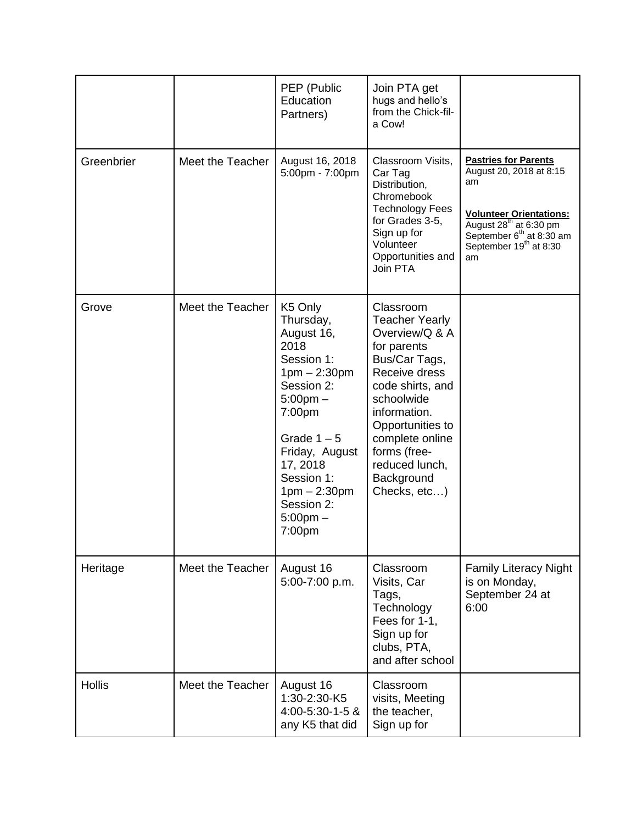|               |                  | PEP (Public<br>Education<br>Partners)                                                                                                                                                                                                     | Join PTA get<br>hugs and hello's<br>from the Chick-fil-<br>a Cow!                                                                                                                                                                                              |                                                                                                                                                                                                                   |
|---------------|------------------|-------------------------------------------------------------------------------------------------------------------------------------------------------------------------------------------------------------------------------------------|----------------------------------------------------------------------------------------------------------------------------------------------------------------------------------------------------------------------------------------------------------------|-------------------------------------------------------------------------------------------------------------------------------------------------------------------------------------------------------------------|
| Greenbrier    | Meet the Teacher | August 16, 2018<br>5:00pm - 7:00pm                                                                                                                                                                                                        | Classroom Visits,<br>Car Tag<br>Distribution,<br>Chromebook<br><b>Technology Fees</b><br>for Grades 3-5,<br>Sign up for<br>Volunteer<br>Opportunities and<br>Join PTA                                                                                          | <b>Pastries for Parents</b><br>August 20, 2018 at 8:15<br>am<br><b>Volunteer Orientations:</b><br>August $28^{th}$ at 6:30 pm<br>September 6 <sup>th</sup> at 8:30 am<br>September 19 <sup>th</sup> at 8:30<br>am |
| Grove         | Meet the Teacher | K5 Only<br>Thursday,<br>August 16,<br>2018<br>Session 1:<br>$1pm - 2:30pm$<br>Session 2:<br>$5:00$ pm $-$<br>7:00pm<br>Grade $1-5$<br>Friday, August<br>17, 2018<br>Session 1:<br>$1pm - 2:30pm$<br>Session 2:<br>$5:00$ pm $-$<br>7:00pm | Classroom<br><b>Teacher Yearly</b><br>Overview/Q & A<br>for parents<br>Bus/Car Tags,<br>Receive dress<br>code shirts, and<br>schoolwide<br>information.<br>Opportunities to<br>complete online<br>forms (free-<br>reduced lunch,<br>Background<br>Checks, etc) |                                                                                                                                                                                                                   |
| Heritage      | Meet the Teacher | August 16<br>5:00-7:00 p.m.                                                                                                                                                                                                               | Classroom<br>Visits, Car<br>Tags,<br>Technology<br>Fees for 1-1,<br>Sign up for<br>clubs, PTA,<br>and after school                                                                                                                                             | <b>Family Literacy Night</b><br>is on Monday,<br>September 24 at<br>6:00                                                                                                                                          |
| <b>Hollis</b> | Meet the Teacher | August 16<br>1:30-2:30-K5<br>4:00-5:30-1-5 &<br>any K5 that did                                                                                                                                                                           | Classroom<br>visits, Meeting<br>the teacher,<br>Sign up for                                                                                                                                                                                                    |                                                                                                                                                                                                                   |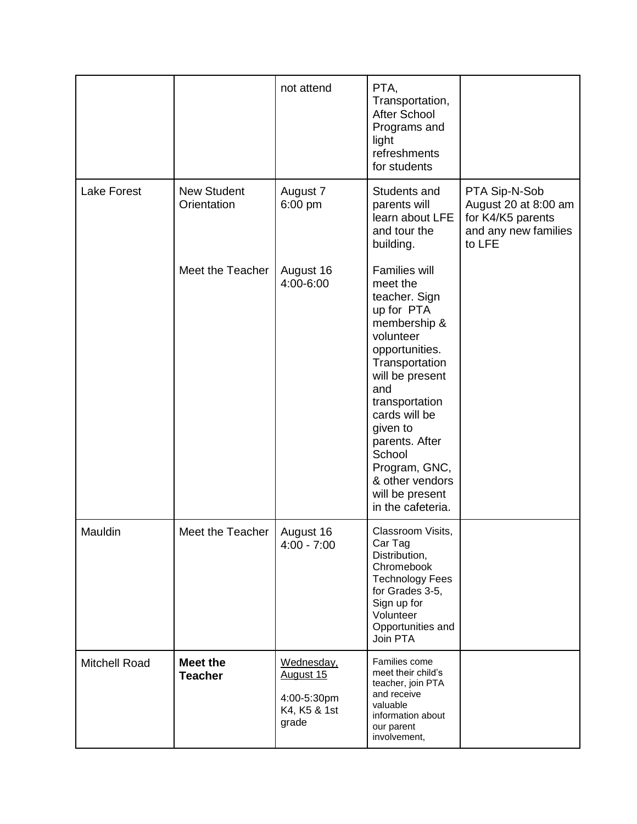|                      |                                   | not attend                                                      | PTA,<br>Transportation,<br><b>After School</b><br>Programs and<br>light<br>refreshments<br>for students                                                                                                                                                                                                    |                                                                                              |
|----------------------|-----------------------------------|-----------------------------------------------------------------|------------------------------------------------------------------------------------------------------------------------------------------------------------------------------------------------------------------------------------------------------------------------------------------------------------|----------------------------------------------------------------------------------------------|
| <b>Lake Forest</b>   | <b>New Student</b><br>Orientation | August 7<br>6:00 pm                                             | Students and<br>parents will<br>learn about LFE<br>and tour the<br>building.                                                                                                                                                                                                                               | PTA Sip-N-Sob<br>August 20 at 8:00 am<br>for K4/K5 parents<br>and any new families<br>to LFE |
|                      | Meet the Teacher                  | August 16<br>4:00-6:00                                          | Families will<br>meet the<br>teacher. Sign<br>up for PTA<br>membership &<br>volunteer<br>opportunities.<br>Transportation<br>will be present<br>and<br>transportation<br>cards will be<br>given to<br>parents. After<br>School<br>Program, GNC,<br>& other vendors<br>will be present<br>in the cafeteria. |                                                                                              |
| Mauldin              | Meet the Teacher                  | August 16<br>$4:00 - 7:00$                                      | Classroom Visits,<br>Car Tag<br>Distribution,<br>Chromebook<br><b>Technology Fees</b><br>for Grades 3-5,<br>Sign up for<br>Volunteer<br>Opportunities and<br>Join PTA                                                                                                                                      |                                                                                              |
| <b>Mitchell Road</b> | <b>Meet the</b><br><b>Teacher</b> | Wednesday,<br>August 15<br>4:00-5:30pm<br>K4, K5 & 1st<br>grade | Families come<br>meet their child's<br>teacher, join PTA<br>and receive<br>valuable<br>information about<br>our parent<br>involvement,                                                                                                                                                                     |                                                                                              |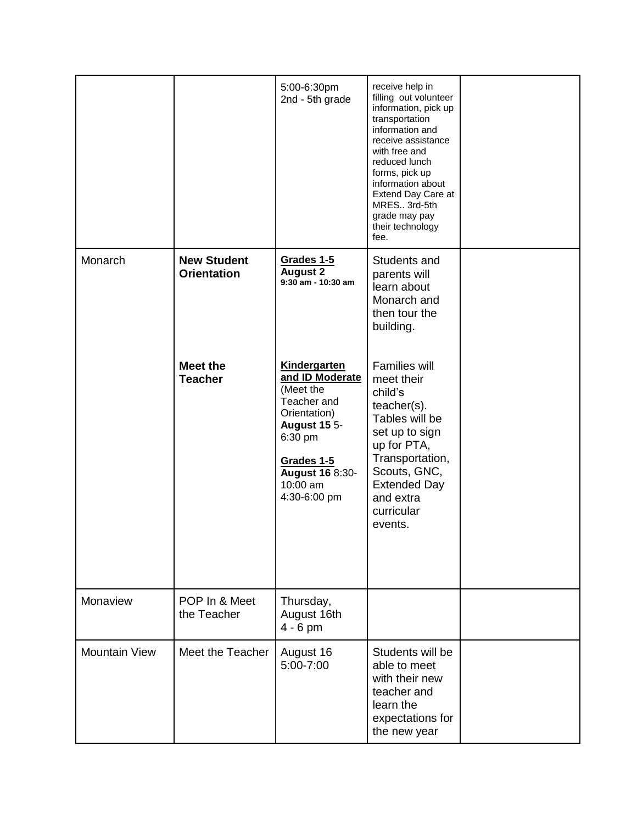|                      |                                          | 5:00-6:30pm<br>2nd - 5th grade                                                                                                                                                    | receive help in<br>filling out volunteer<br>information, pick up<br>transportation<br>information and<br>receive assistance<br>with free and<br>reduced lunch<br>forms, pick up<br>information about<br>Extend Day Care at<br>MRES 3rd-5th<br>grade may pay<br>their technology<br>fee. |  |
|----------------------|------------------------------------------|-----------------------------------------------------------------------------------------------------------------------------------------------------------------------------------|-----------------------------------------------------------------------------------------------------------------------------------------------------------------------------------------------------------------------------------------------------------------------------------------|--|
| Monarch              | <b>New Student</b><br><b>Orientation</b> | Grades 1-5<br><b>August 2</b><br>$9:30$ am - 10:30 am                                                                                                                             | Students and<br>parents will<br>learn about<br>Monarch and<br>then tour the<br>building.                                                                                                                                                                                                |  |
|                      | <b>Meet the</b><br><b>Teacher</b>        | Kindergarten<br>and ID Moderate<br>(Meet the<br>Teacher and<br>Orientation)<br><b>August 15 5-</b><br>6:30 pm<br>Grades 1-5<br><b>August 16 8:30-</b><br>10:00 am<br>4:30-6:00 pm | <b>Families will</b><br>meet their<br>child's<br>teacher(s).<br>Tables will be<br>set up to sign<br>up for PTA,<br>Transportation,<br>Scouts, GNC,<br><b>Extended Day</b><br>and extra<br>curricular<br>events.                                                                         |  |
| Monaview             | POP In & Meet<br>the Teacher             | Thursday,<br>August 16th<br>$4 - 6$ pm                                                                                                                                            |                                                                                                                                                                                                                                                                                         |  |
| <b>Mountain View</b> | Meet the Teacher                         | August 16<br>5:00-7:00                                                                                                                                                            | Students will be<br>able to meet<br>with their new<br>teacher and<br>learn the<br>expectations for<br>the new year                                                                                                                                                                      |  |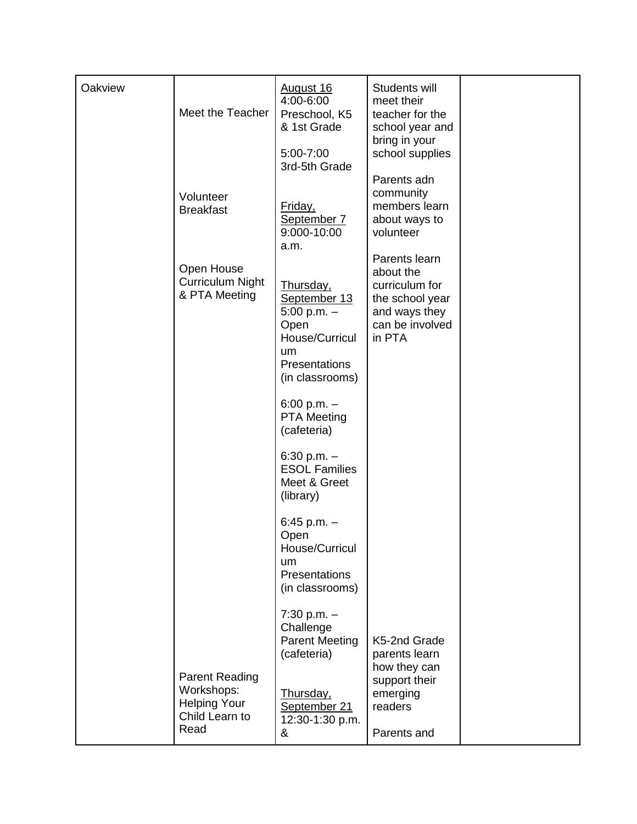| Oakview | Meet the Teacher                                            | August 16<br>4:00-6:00<br>Preschool, K5<br>& 1st Grade                                                           | Students will<br>meet their<br>teacher for the<br>school year and<br>bring in your                            |  |
|---------|-------------------------------------------------------------|------------------------------------------------------------------------------------------------------------------|---------------------------------------------------------------------------------------------------------------|--|
|         |                                                             | 5:00-7:00<br>3rd-5th Grade                                                                                       | school supplies<br>Parents adn                                                                                |  |
|         | Volunteer<br><b>Breakfast</b>                               | Friday,<br>September 7<br>9:000-10:00<br>a.m.                                                                    | community<br>members learn<br>about ways to<br>volunteer                                                      |  |
|         | Open House<br><b>Curriculum Night</b><br>& PTA Meeting      | Thursday,<br>September 13<br>$5:00$ p.m. $-$<br>Open<br>House/Curricul<br>um<br>Presentations<br>(in classrooms) | Parents learn<br>about the<br>curriculum for<br>the school year<br>and ways they<br>can be involved<br>in PTA |  |
|         |                                                             | 6:00 p.m. $-$<br><b>PTA Meeting</b><br>(cafeteria)                                                               |                                                                                                               |  |
|         |                                                             | 6:30 p.m. $-$<br><b>ESOL Families</b><br>Meet & Greet<br>(library)                                               |                                                                                                               |  |
|         |                                                             | 6:45 p.m. $-$<br>Open<br>House/Curricul<br>um<br>Presentations<br>(in classrooms)                                |                                                                                                               |  |
|         | <b>Parent Reading</b>                                       | $7:30$ p.m. $-$<br>Challenge<br><b>Parent Meeting</b><br>(cafeteria)                                             | K5-2nd Grade<br>parents learn<br>how they can                                                                 |  |
|         | Workshops:<br><b>Helping Your</b><br>Child Learn to<br>Read | <u>Thursday,</u><br>September 21<br>12:30-1:30 p.m.<br>&                                                         | support their<br>emerging<br>readers<br>Parents and                                                           |  |
|         |                                                             |                                                                                                                  |                                                                                                               |  |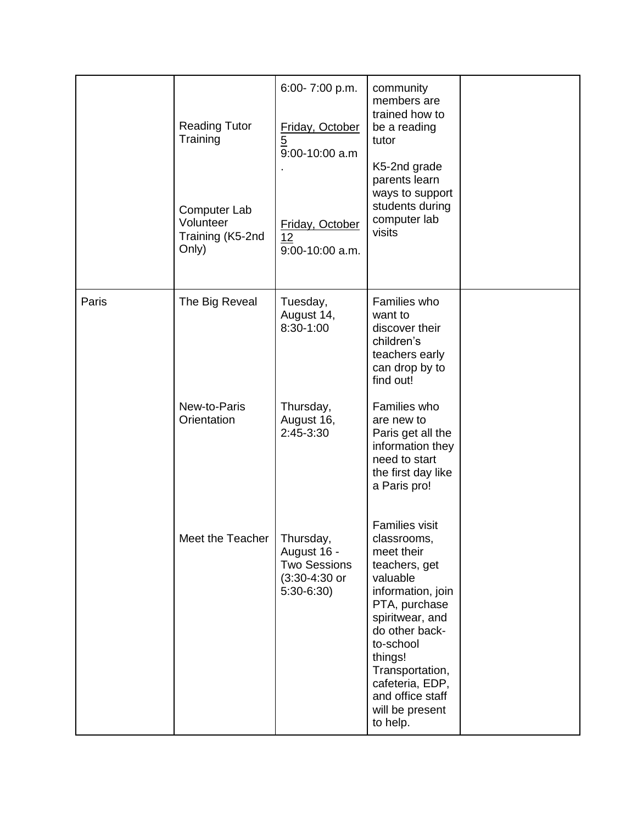|       | <b>Reading Tutor</b><br>Training<br>Computer Lab<br>Volunteer<br>Training (K5-2nd<br>Only) | 6:00-7:00 p.m.<br>Friday, October<br>$\overline{5}$<br>9:00-10:00 a.m<br>Friday, October<br>12<br>9:00-10:00 a.m. | community<br>members are<br>trained how to<br>be a reading<br>tutor<br>K5-2nd grade<br>parents learn<br>ways to support<br>students during<br>computer lab<br>visits                                                                                                        |  |
|-------|--------------------------------------------------------------------------------------------|-------------------------------------------------------------------------------------------------------------------|-----------------------------------------------------------------------------------------------------------------------------------------------------------------------------------------------------------------------------------------------------------------------------|--|
| Paris | The Big Reveal                                                                             | Tuesday,<br>August 14,<br>8:30-1:00                                                                               | Families who<br>want to<br>discover their<br>children's<br>teachers early<br>can drop by to<br>find out!                                                                                                                                                                    |  |
|       | New-to-Paris<br>Orientation                                                                | Thursday,<br>August 16,<br>2:45-3:30                                                                              | Families who<br>are new to<br>Paris get all the<br>information they<br>need to start<br>the first day like<br>a Paris pro!                                                                                                                                                  |  |
|       | Meet the Teacher   Thursday,                                                               | August 16 -<br><b>Two Sessions</b><br>$(3:30-4:30)$ or<br>$5:30-6:30$                                             | <b>Families visit</b><br>classrooms,<br>meet their<br>teachers, get<br>valuable<br>information, join<br>PTA, purchase<br>spiritwear, and<br>do other back-<br>to-school<br>things!<br>Transportation,<br>cafeteria, EDP,<br>and office staff<br>will be present<br>to help. |  |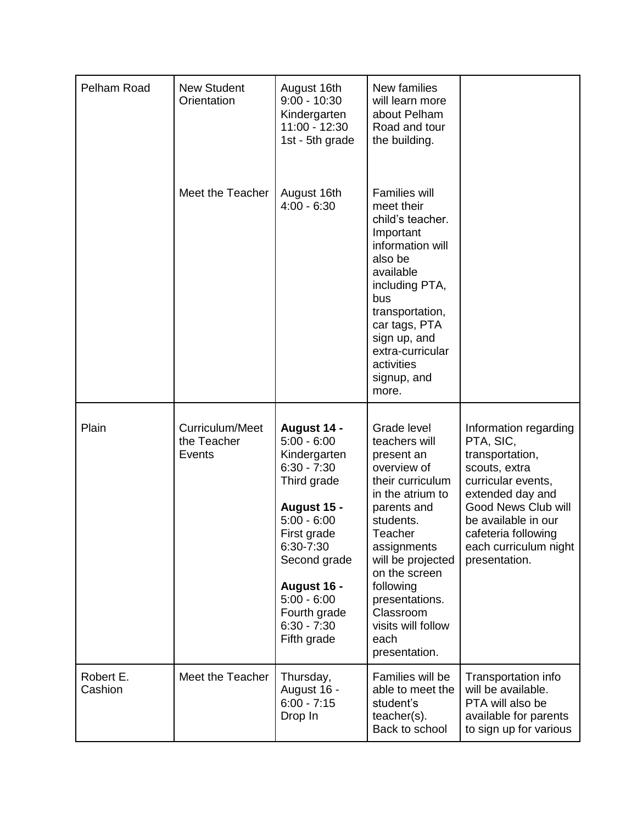| Pelham Road          | <b>New Student</b><br>Orientation        | August 16th<br>$9:00 - 10:30$<br>Kindergarten<br>11:00 - 12:30<br>1st - 5th grade                                                                                                                                                        | New families<br>will learn more<br>about Pelham<br>Road and tour<br>the building.                                                                                                                                                                                                        |                                                                                                                                                                                                                                 |
|----------------------|------------------------------------------|------------------------------------------------------------------------------------------------------------------------------------------------------------------------------------------------------------------------------------------|------------------------------------------------------------------------------------------------------------------------------------------------------------------------------------------------------------------------------------------------------------------------------------------|---------------------------------------------------------------------------------------------------------------------------------------------------------------------------------------------------------------------------------|
|                      | Meet the Teacher                         | August 16th<br>$4:00 - 6:30$                                                                                                                                                                                                             | <b>Families will</b><br>meet their<br>child's teacher.<br>Important<br>information will<br>also be<br>available<br>including PTA,<br>bus<br>transportation,<br>car tags, PTA<br>sign up, and<br>extra-curricular<br>activities<br>signup, and<br>more.                                   |                                                                                                                                                                                                                                 |
| Plain                | Curriculum/Meet<br>the Teacher<br>Events | August 14 -<br>$5:00 - 6:00$<br>Kindergarten<br>$6:30 - 7:30$<br>Third grade<br>August 15 -<br>$5:00 - 6:00$<br>First grade<br>6:30-7:30<br>Second grade<br>August 16 -<br>$5:00 - 6:00$<br>Fourth grade<br>$6:30 - 7:30$<br>Fifth grade | Grade level<br>teachers will<br>present an<br>overview of<br>their curriculum<br>in the atrium to<br>parents and<br>students.<br>Teacher<br>assignments<br>will be projected<br>on the screen<br>following<br>presentations.<br>Classroom<br>visits will follow<br>each<br>presentation. | Information regarding<br>PTA, SIC,<br>transportation,<br>scouts, extra<br>curricular events,<br>extended day and<br>Good News Club will<br>be available in our<br>cafeteria following<br>each curriculum night<br>presentation. |
| Robert E.<br>Cashion | Meet the Teacher                         | Thursday,<br>August 16 -<br>$6:00 - 7:15$<br>Drop In                                                                                                                                                                                     | Families will be<br>able to meet the<br>student's<br>teacher(s).<br>Back to school                                                                                                                                                                                                       | Transportation info<br>will be available.<br>PTA will also be<br>available for parents<br>to sign up for various                                                                                                                |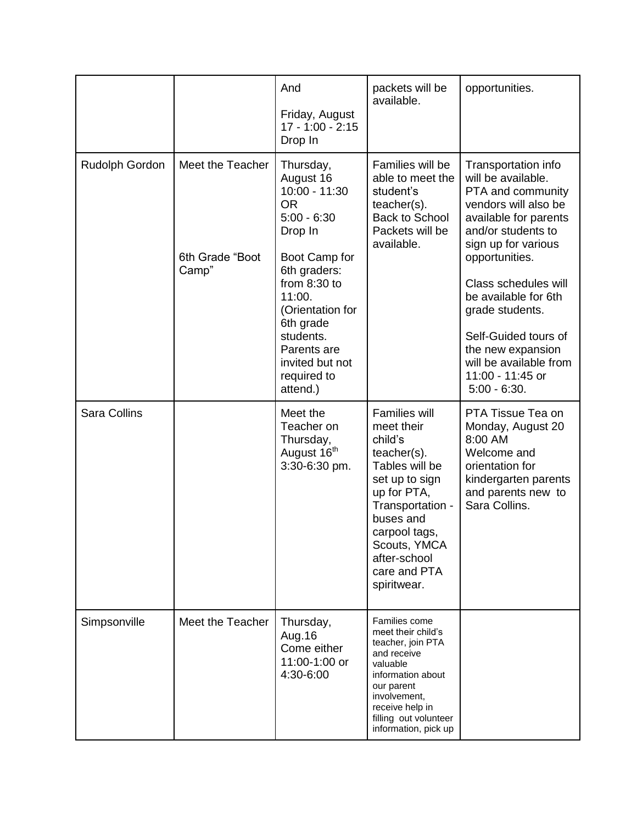|                     |                                              | And<br>Friday, August<br>$17 - 1:00 - 2:15$<br>Drop In                                                                                                                                                                                                   | packets will be<br>available.                                                                                                                                                                                                       | opportunities.                                                                                                                                                                                                                                                                                                                                                 |
|---------------------|----------------------------------------------|----------------------------------------------------------------------------------------------------------------------------------------------------------------------------------------------------------------------------------------------------------|-------------------------------------------------------------------------------------------------------------------------------------------------------------------------------------------------------------------------------------|----------------------------------------------------------------------------------------------------------------------------------------------------------------------------------------------------------------------------------------------------------------------------------------------------------------------------------------------------------------|
| Rudolph Gordon      | Meet the Teacher<br>6th Grade "Boot<br>Camp" | Thursday,<br>August 16<br>10:00 - 11:30<br><b>OR</b><br>$5:00 - 6:30$<br>Drop In<br>Boot Camp for<br>6th graders:<br>from $8:30$ to<br>11:00.<br>(Orientation for<br>6th grade<br>students.<br>Parents are<br>invited but not<br>required to<br>attend.) | Families will be<br>able to meet the<br>student's<br>$teacher(s)$ .<br><b>Back to School</b><br>Packets will be<br>available.                                                                                                       | Transportation info<br>will be available.<br>PTA and community<br>vendors will also be<br>available for parents<br>and/or students to<br>sign up for various<br>opportunities.<br>Class schedules will<br>be available for 6th<br>grade students.<br>Self-Guided tours of<br>the new expansion<br>will be available from<br>11:00 - 11:45 or<br>$5:00 - 6:30.$ |
| <b>Sara Collins</b> |                                              | Meet the<br>Teacher on<br>Thursday,<br>August 16 <sup>th</sup><br>3:30-6:30 pm.                                                                                                                                                                          | <b>Families will</b><br>meet their<br>child's<br>$teacher(s)$ .<br>Tables will be<br>set up to sign<br>up for PTA,<br>Transportation -<br>buses and<br>carpool tags,<br>Scouts, YMCA<br>after-school<br>care and PTA<br>spiritwear. | PTA Tissue Tea on<br>Monday, August 20<br>8:00 AM<br>Welcome and<br>orientation for<br>kindergarten parents<br>and parents new to<br>Sara Collins.                                                                                                                                                                                                             |
| Simpsonville        | Meet the Teacher                             | Thursday,<br>Aug. 16<br>Come either<br>11:00-1:00 or<br>4:30-6:00                                                                                                                                                                                        | Families come<br>meet their child's<br>teacher, join PTA<br>and receive<br>valuable<br>information about<br>our parent<br>involvement,<br>receive help in<br>filling out volunteer<br>information, pick up                          |                                                                                                                                                                                                                                                                                                                                                                |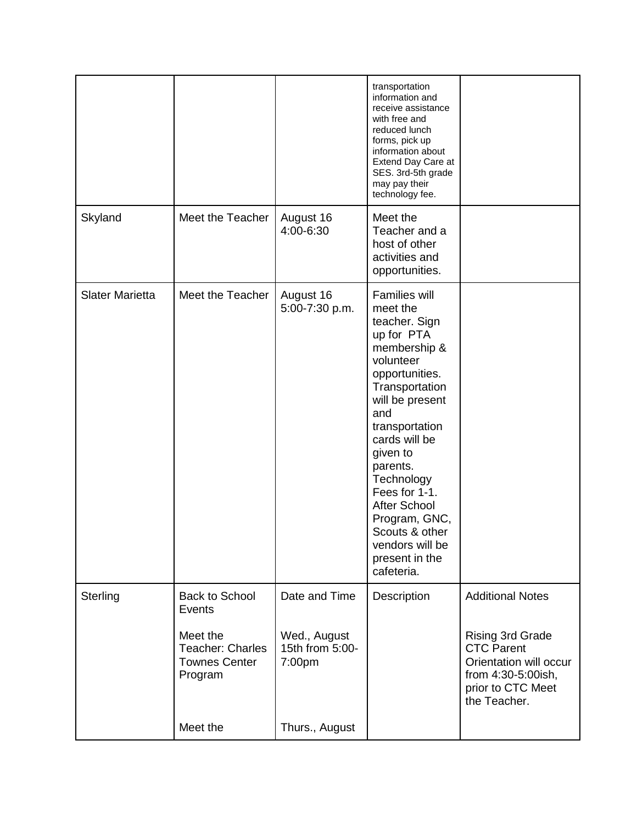|                        |                                                                 |                                           | transportation<br>information and<br>receive assistance<br>with free and<br>reduced lunch<br>forms, pick up<br>information about<br>Extend Day Care at<br>SES. 3rd-5th grade<br>may pay their<br>technology fee.                                                                                                                                                  |                                                                                                                                   |
|------------------------|-----------------------------------------------------------------|-------------------------------------------|-------------------------------------------------------------------------------------------------------------------------------------------------------------------------------------------------------------------------------------------------------------------------------------------------------------------------------------------------------------------|-----------------------------------------------------------------------------------------------------------------------------------|
| Skyland                | Meet the Teacher                                                | August 16<br>4:00-6:30                    | Meet the<br>Teacher and a<br>host of other<br>activities and<br>opportunities.                                                                                                                                                                                                                                                                                    |                                                                                                                                   |
| <b>Slater Marietta</b> | Meet the Teacher                                                | August 16<br>5:00-7:30 p.m.               | <b>Families will</b><br>meet the<br>teacher. Sign<br>up for PTA<br>membership &<br>volunteer<br>opportunities.<br>Transportation<br>will be present<br>and<br>transportation<br>cards will be<br>given to<br>parents.<br>Technology<br>Fees for 1-1.<br><b>After School</b><br>Program, GNC,<br>Scouts & other<br>vendors will be<br>present in the<br>cafeteria. |                                                                                                                                   |
| Sterling               | <b>Back to School</b><br>Events                                 | Date and Time                             | Description                                                                                                                                                                                                                                                                                                                                                       | <b>Additional Notes</b>                                                                                                           |
|                        | Meet the<br>Teacher: Charles<br><b>Townes Center</b><br>Program | Wed., August<br>15th from 5:00-<br>7:00pm |                                                                                                                                                                                                                                                                                                                                                                   | <b>Rising 3rd Grade</b><br><b>CTC Parent</b><br>Orientation will occur<br>from 4:30-5:00ish,<br>prior to CTC Meet<br>the Teacher. |
|                        | Meet the                                                        | Thurs., August                            |                                                                                                                                                                                                                                                                                                                                                                   |                                                                                                                                   |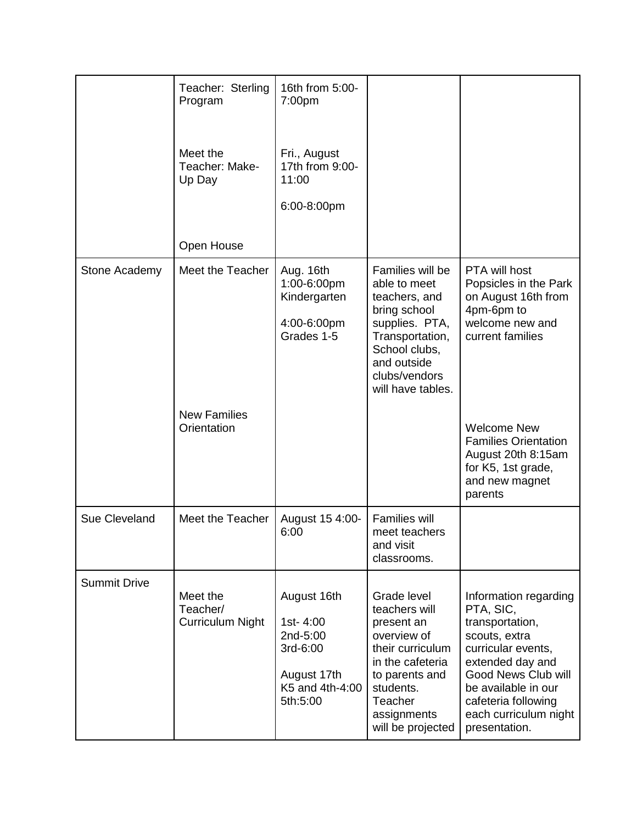|                     | Teacher: Sterling<br>Program<br>Meet the<br>Teacher: Make-<br>Up Day | 16th from 5:00-<br>7:00 <sub>pm</sub><br>Fri., August<br>17th from 9:00-<br>11:00<br>6:00-8:00pm |                                                                                                                                                                                 |                                                                                                                                                                                                                                 |
|---------------------|----------------------------------------------------------------------|--------------------------------------------------------------------------------------------------|---------------------------------------------------------------------------------------------------------------------------------------------------------------------------------|---------------------------------------------------------------------------------------------------------------------------------------------------------------------------------------------------------------------------------|
|                     |                                                                      |                                                                                                  |                                                                                                                                                                                 |                                                                                                                                                                                                                                 |
|                     | Open House                                                           |                                                                                                  |                                                                                                                                                                                 |                                                                                                                                                                                                                                 |
| Stone Academy       | Meet the Teacher                                                     | Aug. 16th<br>1:00-6:00pm<br>Kindergarten<br>4:00-6:00pm<br>Grades 1-5                            | Families will be<br>able to meet<br>teachers, and<br>bring school<br>supplies. PTA,<br>Transportation,<br>School clubs,<br>and outside<br>clubs/vendors<br>will have tables.    | PTA will host<br>Popsicles in the Park<br>on August 16th from<br>4pm-6pm to<br>welcome new and<br>current families                                                                                                              |
|                     | <b>New Families</b><br>Orientation                                   |                                                                                                  |                                                                                                                                                                                 | <b>Welcome New</b><br><b>Families Orientation</b><br>August 20th 8:15am<br>for K5, 1st grade,<br>and new magnet<br>parents                                                                                                      |
| Sue Cleveland       | Meet the Teacher                                                     | August 15 4:00-<br>6:00                                                                          | <b>Families will</b><br>meet teachers<br>and visit<br>classrooms.                                                                                                               |                                                                                                                                                                                                                                 |
| <b>Summit Drive</b> | Meet the<br>Teacher/<br>Curriculum Night                             | August 16th<br>1st-4:00<br>2nd-5:00<br>3rd-6:00<br>August 17th<br>K5 and 4th-4:00<br>5th:5:00    | Grade level<br>teachers will<br>present an<br>overview of<br>their curriculum<br>in the cafeteria<br>to parents and<br>students.<br>Teacher<br>assignments<br>will be projected | Information regarding<br>PTA, SIC,<br>transportation,<br>scouts, extra<br>curricular events,<br>extended day and<br>Good News Club will<br>be available in our<br>cafeteria following<br>each curriculum night<br>presentation. |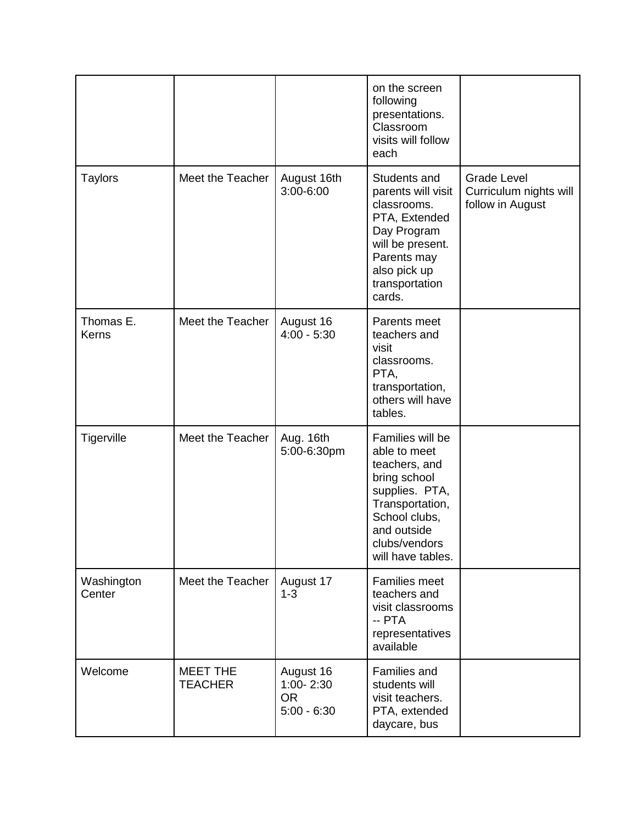|                      |                                   |                                                      | on the screen<br>following<br>presentations.<br>Classroom<br>visits will follow<br>each                                                                                      |                                                                  |
|----------------------|-----------------------------------|------------------------------------------------------|------------------------------------------------------------------------------------------------------------------------------------------------------------------------------|------------------------------------------------------------------|
| <b>Taylors</b>       | Meet the Teacher                  | August 16th<br>3:00-6:00                             | Students and<br>parents will visit<br>classrooms.<br>PTA, Extended<br>Day Program<br>will be present.<br>Parents may<br>also pick up<br>transportation<br>cards.             | <b>Grade Level</b><br>Curriculum nights will<br>follow in August |
| Thomas E.<br>Kerns   | Meet the Teacher                  | August 16<br>$4:00 - 5:30$                           | Parents meet<br>teachers and<br>visit<br>classrooms.<br>PTA,<br>transportation,<br>others will have<br>tables.                                                               |                                                                  |
| Tigerville           | Meet the Teacher                  | Aug. 16th<br>5:00-6:30pm                             | Families will be<br>able to meet<br>teachers, and<br>bring school<br>supplies. PTA,<br>Transportation,<br>School clubs,<br>and outside<br>clubs/vendors<br>will have tables. |                                                                  |
| Washington<br>Center | Meet the Teacher                  | August 17<br>$1 - 3$                                 | <b>Families meet</b><br>teachers and<br>visit classrooms<br>-- PTA<br>representatives<br>available                                                                           |                                                                  |
| Welcome              | <b>MEET THE</b><br><b>TEACHER</b> | August 16<br>1:00-2:30<br><b>OR</b><br>$5:00 - 6:30$ | Families and<br>students will<br>visit teachers.<br>PTA, extended<br>daycare, bus                                                                                            |                                                                  |